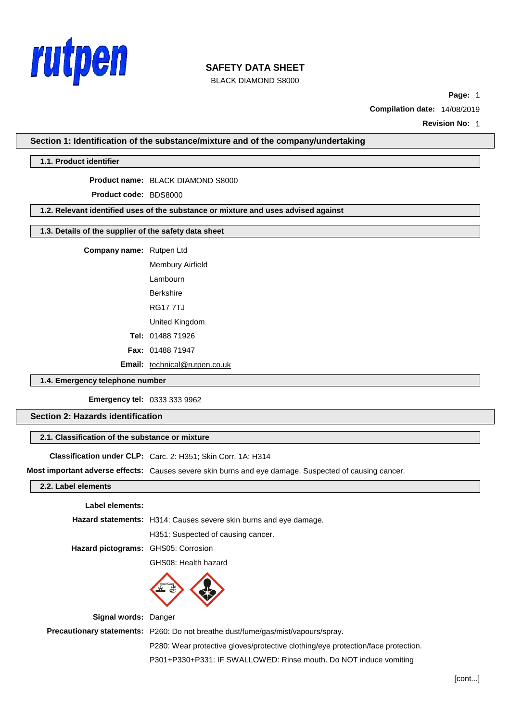

BLACK DIAMOND S8000

**Page:** 1

**Compilation date:** 14/08/2019

**Revision No:** 1

**Section 1: Identification of the substance/mixture and of the company/undertaking**

# **1.1. Product identifier**

**Product name:** BLACK DIAMOND S8000

**Product code:** BDS8000

**1.2. Relevant identified uses of the substance or mixture and uses advised against**

# **1.3. Details of the supplier of the safety data sheet**

**Company name:** Rutpen Ltd

Membury Airfield Lambourn Berkshire RG17 7TJ United Kingdom **Tel:** 01488 71926 **Fax:** 01488 71947

**Email:** [technical@rutpen.co.uk](mailto:technical@rutpen.co.uk)

# **1.4. Emergency telephone number**

**Emergency tel:** 0333 333 9962

**Section 2: Hazards identification**

### **2.1. Classification of the substance or mixture**

**Classification under CLP:** Carc. 2: H351; Skin Corr. 1A: H314

**Most important adverse effects:** Causes severe skin burns and eye damage. Suspected of causing cancer.

### **2.2. Label elements**

#### **Label elements:**

**Hazard statements:** H314: Causes severe skin burns and eye damage.

H351: Suspected of causing cancer.

**Hazard pictograms:** GHS05: Corrosion

GHS08: Health hazard



**Signal words:** Danger

**Precautionary statements:** P260: Do not breathe dust/fume/gas/mist/vapours/spray. P280: Wear protective gloves/protective clothing/eye protection/face protection. P301+P330+P331: IF SWALLOWED: Rinse mouth. Do NOT induce vomiting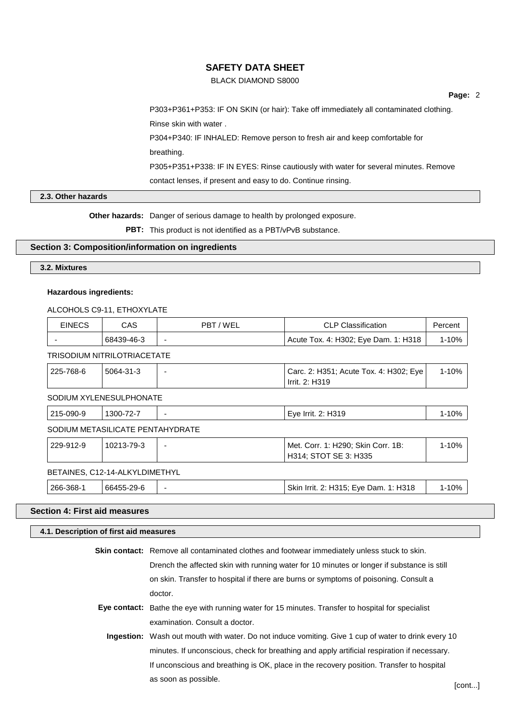## BLACK DIAMOND S8000

**Page:** 2

P303+P361+P353: IF ON SKIN (or hair): Take off immediately all contaminated clothing. Rinse skin with water . P304+P340: IF INHALED: Remove person to fresh air and keep comfortable for breathing. P305+P351+P338: IF IN EYES: Rinse cautiously with water for several minutes. Remove

contact lenses, if present and easy to do. Continue rinsing.

# **2.3. Other hazards**

**Other hazards:** Danger of serious damage to health by prolonged exposure.

PBT: This product is not identified as a PBT/vPvB substance.

## **Section 3: Composition/information on ingredients**

**3.2. Mixtures**

## **Hazardous ingredients:**

### ALCOHOLS C9-11, ETHOXYLATE

| <b>EINECS</b>                    | CAS.       | PBT/WEL | <b>CLP Classification</b>                                   | Percent   |  |  |
|----------------------------------|------------|---------|-------------------------------------------------------------|-----------|--|--|
|                                  | 68439-46-3 |         | Acute Tox. 4: H302; Eye Dam. 1: H318                        | $1 - 10%$ |  |  |
| TRISODIUM NITRILOTRIACETATE      |            |         |                                                             |           |  |  |
| 225-768-6                        | 5064-31-3  |         | Carc. 2: H351; Acute Tox. 4: H302; Eye<br>Irrit. 2: H319    | 1-10%     |  |  |
| SODIUM XYLENESULPHONATE          |            |         |                                                             |           |  |  |
| 215-090-9                        | 1300-72-7  |         | Eye Irrit. 2: H319                                          | $1 - 10%$ |  |  |
| SODIUM METASILICATE PENTAHYDRATE |            |         |                                                             |           |  |  |
| 229-912-9                        | 10213-79-3 |         | Met. Corr. 1: H290; Skin Corr. 1B:<br>H314; STOT SE 3: H335 | $1 - 10%$ |  |  |
| BETAINES, C12-14-ALKYLDIMETHYL   |            |         |                                                             |           |  |  |
| 266-368-1                        | 66455-29-6 |         | Skin Irrit. 2: H315; Eye Dam. 1: H318                       | 1-10%     |  |  |

# **Section 4: First aid measures**

# **4.1. Description of first aid measures**

| <b>Skin contact:</b> Remove all contaminated clothes and footwear immediately unless stuck to skin.        |  |  |
|------------------------------------------------------------------------------------------------------------|--|--|
| Drench the affected skin with running water for 10 minutes or longer if substance is still                 |  |  |
| on skin. Transfer to hospital if there are burns or symptoms of poisoning. Consult a                       |  |  |
| doctor.                                                                                                    |  |  |
| <b>Eye contact:</b> Bathe the eye with running water for 15 minutes. Transfer to hospital for specialist   |  |  |
| examination. Consult a doctor.                                                                             |  |  |
| <b>Ingestion:</b> Wash out mouth with water. Do not induce vomiting. Give 1 cup of water to drink every 10 |  |  |
| minutes. If unconscious, check for breathing and apply artificial respiration if necessary.                |  |  |
| If unconscious and breathing is OK, place in the recovery position. Transfer to hospital                   |  |  |
| as soon as possible.                                                                                       |  |  |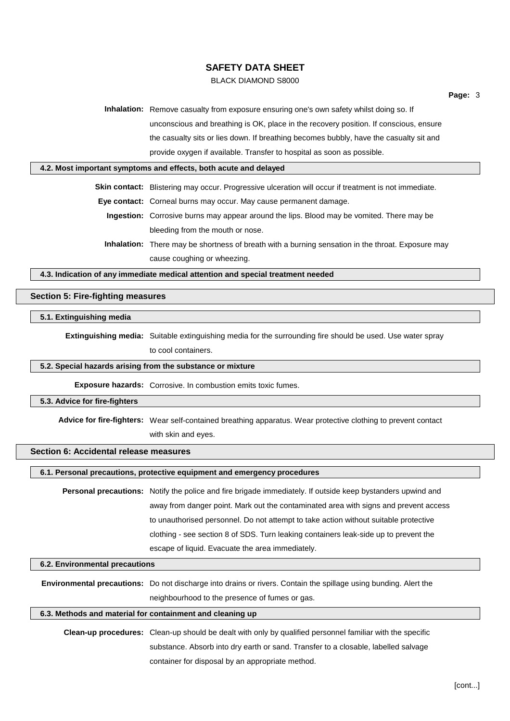# BLACK DIAMOND S8000

**Inhalation:** Remove casualty from exposure ensuring one's own safety whilst doing so. If unconscious and breathing is OK, place in the recovery position. If conscious, ensure the casualty sits or lies down. If breathing becomes bubbly, have the casualty sit and provide oxygen if available. Transfer to hospital as soon as possible.

#### **4.2. Most important symptoms and effects, both acute and delayed**

**Skin contact:** Blistering may occur. Progressive ulceration will occur if treatment is not immediate.

**Eye contact:** Corneal burns may occur. May cause permanent damage.

- **Ingestion:** Corrosive burns may appear around the lips. Blood may be vomited. There may be bleeding from the mouth or nose.
- **Inhalation:** There may be shortness of breath with a burning sensation in the throat. Exposure may cause coughing or wheezing.

**4.3. Indication of any immediate medical attention and special treatment needed**

# **Section 5: Fire-fighting measures**

### **5.1. Extinguishing media**

**Extinguishing media:** Suitable extinguishing media for the surrounding fire should be used. Use water spray to cool containers.

#### **5.2. Special hazards arising from the substance or mixture**

**Exposure hazards:** Corrosive. In combustion emits toxic fumes.

#### **5.3. Advice for fire-fighters**

**Advice for fire-fighters:** Wear self-contained breathing apparatus. Wear protective clothing to prevent contact with skin and eyes.

# **Section 6: Accidental release measures**

# **6.1. Personal precautions, protective equipment and emergency procedures**

**Personal precautions:** Notify the police and fire brigade immediately. If outside keep bystanders upwind and away from danger point. Mark out the contaminated area with signs and prevent access to unauthorised personnel. Do not attempt to take action without suitable protective clothing - see section 8 of SDS. Turn leaking containers leak-side up to prevent the escape of liquid. Evacuate the area immediately.

#### **6.2. Environmental precautions**

**Environmental precautions:** Do not discharge into drains or rivers. Contain the spillage using bunding. Alert the neighbourhood to the presence of fumes or gas.

# **6.3. Methods and material for containment and cleaning up**

**Clean-up procedures:** Clean-up should be dealt with only by qualified personnel familiar with the specific substance. Absorb into dry earth or sand. Transfer to a closable, labelled salvage container for disposal by an appropriate method.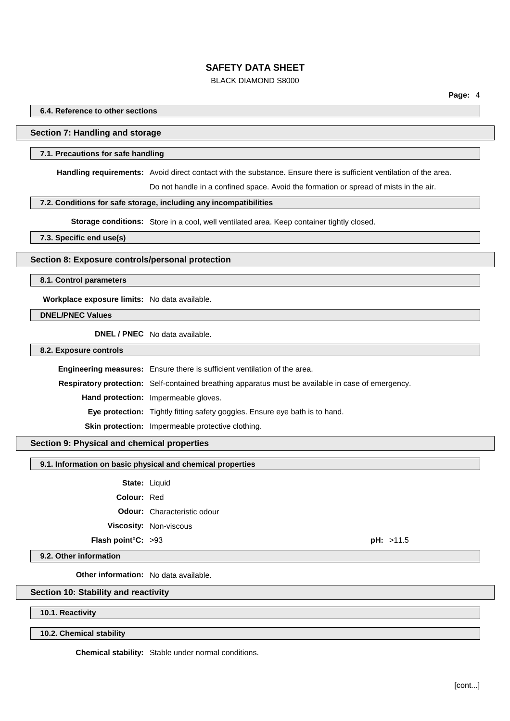## BLACK DIAMOND S8000

**Page:** 4

**6.4. Reference to other sections**

### **Section 7: Handling and storage**

#### **7.1. Precautions for safe handling**

**Handling requirements:** Avoid direct contact with the substance. Ensure there is sufficient ventilation of the area.

Do not handle in a confined space. Avoid the formation or spread of mists in the air.

## **7.2. Conditions for safe storage, including any incompatibilities**

**Storage conditions:** Store in a cool, well ventilated area. Keep container tightly closed.

**7.3. Specific end use(s)**

### **Section 8: Exposure controls/personal protection**

#### **8.1. Control parameters**

**Workplace exposure limits:** No data available.

**DNEL/PNEC Values**

**DNEL / PNEC** No data available.

**8.2. Exposure controls**

**Engineering measures:** Ensure there is sufficient ventilation of the area. **Respiratory protection:** Self-contained breathing apparatus must be available in case of emergency. **Hand protection:** Impermeable gloves. **Eye protection:** Tightly fitting safety goggles. Ensure eye bath is to hand. **Skin protection:** Impermeable protective clothing.

### **Section 9: Physical and chemical properties**

**9.1. Information on basic physical and chemical properties**

**State:** Liquid

**Colour:** Red

**Odour:** Characteristic odour

**Viscosity:** Non-viscous

**Flash point°C:** >93 **pH:** >11.5

**9.2. Other information**

**Other information:** No data available.

### **Section 10: Stability and reactivity**

**10.1. Reactivity**

**10.2. Chemical stability**

**Chemical stability:** Stable under normal conditions.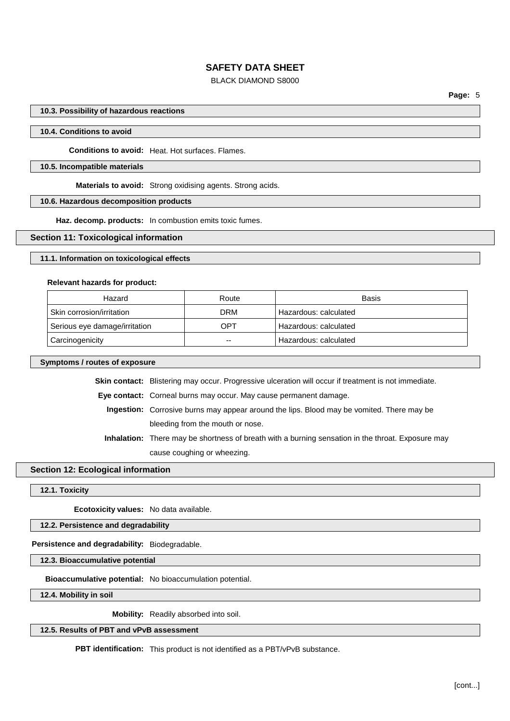# BLACK DIAMOND S8000

**Page:** 5

### **10.3. Possibility of hazardous reactions**

#### **10.4. Conditions to avoid**

**Conditions to avoid:** Heat. Hot surfaces. Flames.

## **10.5. Incompatible materials**

**Materials to avoid:** Strong oxidising agents. Strong acids.

### **10.6. Hazardous decomposition products**

**Haz. decomp. products:** In combustion emits toxic fumes.

### **Section 11: Toxicological information**

### **11.1. Information on toxicological effects**

#### **Relevant hazards for product:**

| Hazard                        | Route      | Basis                 |
|-------------------------------|------------|-----------------------|
| Skin corrosion/irritation     | <b>DRM</b> | Hazardous: calculated |
| Serious eye damage/irritation | OPT        | Hazardous: calculated |
| Carcinogenicity               | $- -$      | Hazardous: calculated |

#### **Symptoms / routes of exposure**

**Skin contact:** Blistering may occur. Progressive ulceration will occur if treatment is not immediate.

**Eye contact:** Corneal burns may occur. May cause permanent damage.

- **Ingestion:** Corrosive burns may appear around the lips. Blood may be vomited. There may be bleeding from the mouth or nose.
- **Inhalation:** There may be shortness of breath with a burning sensation in the throat. Exposure may cause coughing or wheezing.

## **Section 12: Ecological information**

#### **12.1. Toxicity**

**Ecotoxicity values:** No data available.

**12.2. Persistence and degradability**

**Persistence and degradability:** Biodegradable.

**12.3. Bioaccumulative potential**

**Bioaccumulative potential:** No bioaccumulation potential.

**12.4. Mobility in soil**

**Mobility:** Readily absorbed into soil.

## **12.5. Results of PBT and vPvB assessment**

**PBT identification:** This product is not identified as a PBT/vPvB substance.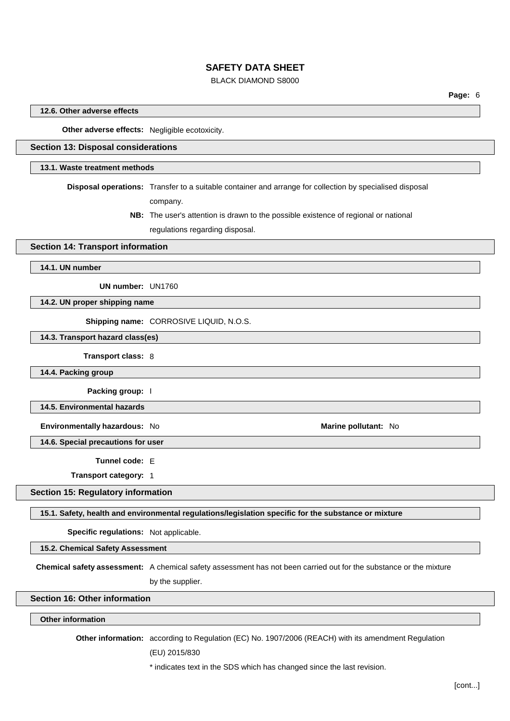# BLACK DIAMOND S8000

### **12.6. Other adverse effects**

**Other adverse effects:** Negligible ecotoxicity.

# **Section 13: Disposal considerations**

#### **13.1. Waste treatment methods**

**Disposal operations:** Transfer to a suitable container and arrange for collection by specialised disposal company.

> **NB:** The user's attention is drawn to the possible existence of regional or national regulations regarding disposal.

### **Section 14: Transport information**

**14.1. UN number**

**UN number:** UN1760

**14.2. UN proper shipping name**

**Shipping name:** CORROSIVE LIQUID, N.O.S.

**14.3. Transport hazard class(es)**

### **Transport class:** 8

**14.4. Packing group**

**Packing group:** I

**14.5. Environmental hazards**

**Environmentally hazardous:** No **Marine Marine Marine Marine Marine Marine Marine Marine Marine Marine Marine Marine Marine Marine Marine Marine Marine Marine Marine Marine Marine**

**14.6. Special precautions for user**

**Tunnel code:** E

**Transport category:** 1

**Section 15: Regulatory information**

### **15.1. Safety, health and environmental regulations/legislation specific for the substance or mixture**

**Specific regulations:** Not applicable.

**15.2. Chemical Safety Assessment**

**Chemical safety assessment:** A chemical safety assessment has not been carried out for the substance or the mixture by the supplier.

**Section 16: Other information**

### **Other information**

**Other information:** according to Regulation (EC) No. 1907/2006 (REACH) with its amendment Regulation

(EU) 2015/830